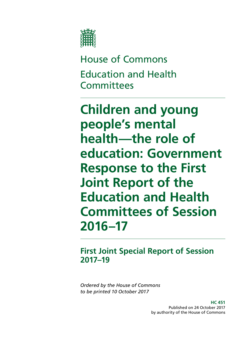

House of Commons Education and Health **Committees** 

**Children and young people's mental health—the role of education: Government Response to the First Joint Report of the Education and Health Committees of Session 2016–17**

## **First Joint Special Report of Session 2017–19**

*Ordered by the House of Commons to be printed 10 October 2017*

> **HC 451** Published on 24 October 2017 by authority of the House of Commons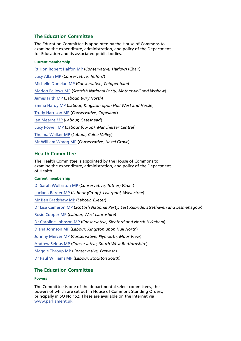## **The Education Committee**

The Education Committee is appointed by the House of Commons to examine the expenditure, administration, and policy of the Department for Education and its associated public bodies.

#### **Current membership**

[Rt Hon Robert Halfon MP](http://www.parliament.uk/biographies/commons/robert-halfon/3985) (*Conservative, Harlow*) (Chair) [Lucy Allan MP](http://www.parliament.uk/biographies/commons/lucy-allan/4411) (*Conservative, Telford*) [Michelle Donelan MP](http://www.parliament.uk/biographies/commons/michelle-donelan/4530) (*Conservative, Chippenham*) [Marion Fellows MP](http://www.parliament.uk/biographies/commons/marion-fellows/4440) (*Scottish National Party, Motherwell and Wishaw*) [James Frith MP](http://www.parliament.uk/biographies/commons/james-frith/4637) (*Labour, Bury North*) [Emma Hardy MP](http://www.parliament.uk/biographies/commons/emma-hardy/4645) (*Labour, Kingston upon Hull West and Hessle*) [Trudy Harrison MP](http://www.parliament.uk/biographies/commons/trudy-harrison/4593) (*Conservative, Copeland*) [Ian Mearns MP](http://www.parliament.uk/biographies/commons/ian-mearns/4000) (*Labour, Gateshead*) [Lucy Powell MP](http://www.parliament.uk/biographies/commons/lucy-powell/4263) (*Labour (Co-op), Manchester Central*) [Thelma Walker MP](http://www.parliament.uk/biographies/commons/thelma-walker/4649) (*Labour, Colne Valley*) [Mr William Wragg MP](http://www.parliament.uk/biographies/commons/william-wragg/4429) (*Conservative, Hazel Grove*)

### **Health Committee**

The Health Committee is appointed by the House of Commons to examine the expenditure, administration, and policy of the Department of Health.

#### **Current membership**

[Dr Sarah Wollaston MP](http://www.parliament.uk/biographies/commons/dr-sarah-wollaston/4073) (*Conservative, Totnes*) (Chair) [Luciana Berger MP](http://www.parliament.uk/biographies/commons/luciana-berger/4036) (*Labour (Co-op), Liverpool, Wavertree*) [Mr Ben Bradshaw MP](http://www.parliament.uk/biographies/commons/mr-ben-bradshaw/230) (*Labour, Exeter*) [Dr Lisa Cameron MP](http://www.parliament.uk/biographies/commons/dr-lisa-cameron/4412) (*Scottish National Party, East Kilbride, Strathaven and Lesmahagow*) [Rosie Cooper MP](http://www.parliament.uk/biographies/commons/rosie-cooper/1538) (*Labour, West Lancashire*) [Dr Caroline Johnson MP](http://www.parliament.uk/biographies/commons/dr-caroline-johnson/4592) (*Conservative, Sleaford and North Hykeham*) [Diana Johnson MP](http://www.parliament.uk/biographies/commons/diana-johnson/1533) (*Labour, Kingston upon Hull North*) [Johnny Mercer MP](http://www.parliament.uk/biographies/commons/johnny-mercer/4485) (*Conservative, Plymouth, Moor View*) [Andrew Selous MP](http://www.parliament.uk/biographies/commons/andrew-selous/1453) (*Conservative, South West Bedfordshire*) [Maggie Throup MP](http://www.parliament.uk/biographies/commons/maggie-throup/4447) (*Conservative, Erewash*) [Dr Paul Williams MP](http://www.parliament.uk/biographies/commons/dr-paul-williams/4666) (*Labour, Stockton South*)

#### **The Education Committee**

#### **Powers**

The Committee is one of the departmental select committees, the powers of which are set out in House of Commons Standing Orders, principally in SO No 152. These are available on the Internet via [www.parliament.uk](http://www.parliament.uk/).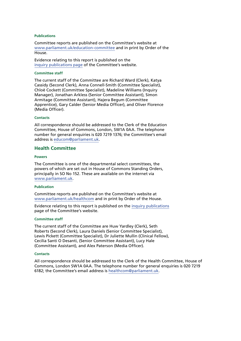#### **Publications**

Committee reports are published on the Committee's website at [www.parliament.uk/education-committee](http://www.parliament.uk/business/committees/committees-a-z/commons-select/education-committee/) and in print by Order of the **House** 

Evidence relating to this report is published on the [inquiry publications page](http://www.parliament.uk/business/committees/committees-a-z/commons-select/education-committee/inquiries/parliament-2015/mental-health-children-15-16/publications/) of the Committee's website.

#### **Committee staff**

The current staff of the Committee are Richard Ward (Clerk), Katya Cassidy (Second Clerk), Anna Connell-Smith (Committee Specialist), Chloë Cockett (Committee Specialist), Madeline Williams (Inquiry Manager), Jonathan Arkless (Senior Committee Assistant), Simon Armitage (Committee Assistant), Hajera Begum (Committee Apprentice), Gary Calder (Senior Media Officer), and Oliver Florence (Media Officer).

#### **Contacts**

All correspondence should be addressed to the Clerk of the Education Committee, House of Commons, London, SW1A 0AA. The telephone number for general enquiries is 020 7219 1376; the Committee's email address is [educom@parliament.uk](mailto:educom@parliament.uk).

#### **Health Committee**

#### **Powers**

The Committee is one of the departmental select committees, the powers of which are set out in House of Commons Standing Orders, principally in SO No 152. These are available on the internet via [www.parliament.uk](http://www.parliament.uk/).

#### **Publication**

Committee reports are published on the Committee's website at [www.parliament.uk/healthcom](http://www.parliament.uk/healthcom) and in print by Order of the House.

Evidence relating to this report is published on the [inquiry publications](http://www.parliament.uk/business/committees/committees-a-z/commons-select/education-committee/inquiries/parliament-2015/mental-health-children-15-16/publications/) page of the Committee's website.

#### **Committee staff**

The current staff of the Committee are Huw Yardley (Clerk), Seth Roberts (Second Clerk), Laura Daniels (Senior Committee Specialist), Lewis Pickett (Committee Specialist), Dr Juliette Mullin (Clinical Fellow), Cecilia Santi O Desanti, (Senior Committee Assistant), Lucy Hale (Committee Assistant), and Alex Paterson (Media Officer).

#### **Contacts**

All correspondence should be addressed to the Clerk of the Health Committee, House of Commons, London SW1A 0AA. The telephone number for general enquiries is 020 7219 6182; the Committee's email address is [healthcom@parliament.uk.](mailto:healthcom@parliament.uk)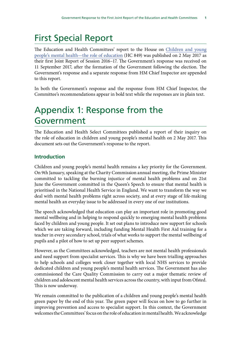# First Special Report

The Education and Health Committees' report to the House on [Children and young](https://publications.parliament.uk/pa/cm201617/cmselect/cmhealth/849/84902.htm) [people's mental health—the role of education](https://publications.parliament.uk/pa/cm201617/cmselect/cmhealth/849/84902.htm) (HC 849) was published on 2 May 2017 as their first Joint Report of Session 2016–17. The Government's response was received on 11 September 2017, after the formation of the Government following the election. The Government's response and a separate response from HM Chief Inspector are appended to this report.

In both the Government's response and the response from HM Chief Inspector, the Committee's recommendations appear in bold text while the responses are in plain text.

## Appendix 1: Response from the Government

The Education and Health Select Committees published a report of their inquiry on the role of education in children and young people's mental health on 2 May 2017. This document sets out the Government's response to the report.

## **Introduction**

Children and young people's mental health remains a key priority for the Government. On 9th January, speaking at the Charity Commission annual meeting, the Prime Minister committed to tackling the burning injustice of mental health problems and on 21st June the Government committed in the Queen's Speech to ensure that mental health is prioritised in the National Health Service in England. We want to transform the way we deal with mental health problems right across society, and at every stage of life-making mental health an everyday issue to be addressed in every one of our institutions.

The speech acknowledged that education can play an important role in promoting good mental wellbeing and in helping to respond quickly to emerging mental health problems faced by children and young people. It set out plans to introduce new support for schools which we are taking forward, including funding Mental Health First Aid training for a teacher in every secondary school, trials of what works to support the mental wellbeing of pupils and a pilot of how to set up peer support schemes.

However, as the Committees acknowledged, teachers are not mental health professionals and need support from specialist services. This is why we have been trialling approaches to help schools and colleges work closer together with local NHS services to provide dedicated children and young people's mental health services. The Government has also commissioned the Care Quality Commission to carry out a major thematic review of children and adolescent mental health services across the country, with input from Ofsted. This is now underway.

We remain committed to the publication of a children and young people's mental health green paper by the end of this year. The green paper will focus on how to go further in improving prevention and access to specialist support. In this context, the Government welcomes the Committees' focus on the role of education in mental health. We acknowledge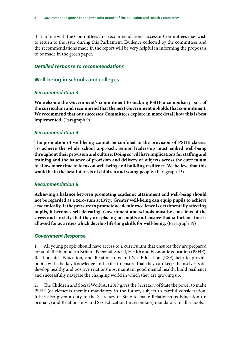that in line with the Committees first recommendation, successor Committees may wish to return to the issue during this Parliament. Evidence collected by the committees and the recommendations made in the report will be very helpful in informing the proposals to be made in the green paper.

#### *Detailed response to recommendations*

## **Well-being in schools and colleges**

### *Recommendation 3*

**We welcome the Government's commitment to making PSHE a compulsory part of the curriculum and recommend that the next Government upholds that commitment. We recommend that our successor Committees explore in more detail how this is best implemented.** (Paragraph 9)

### *Recommendation 4*

**The promotion of well-being cannot be confined to the provision of PSHE classes. To achieve the whole school approach, senior leadership must embed well-being throughout their provision and culture. Doing so will have implications for staffing and training and the balance of provision and delivery of subjects across the curriculum to allow more time to focus on well-being and building resilience. We believe that this would be in the best interests of children and young people.** (Paragraph 13)

#### *Recommendation 6*

**Achieving a balance between promoting academic attainment and well-being should not be regarded as a zero-sum activity. Greater well-being can equip pupils to achieve academically. If the pressure to promote academic excellence is detrimentally affecting pupils, it becomes self-defeating. Government and schools must be conscious of the stress and anxiety that they are placing on pupils and ensure that sufficient time is allowed for activities which develop life-long skills for well-being.** (Paragraph 19)

#### *Government Response*

1. All young people should have access to a curriculum that ensures they are prepared for adult life in modern Britain. Personal, Social, Health and Economic education (PSHE), Relationships Education, and Relationships and Sex Education (RSE) help to provide pupils with the key knowledge and skills to ensure that they can keep themselves safe, develop healthy and positive relationships, maintain good mental health, build resilience and successfully navigate the changing world in which they are growing up.

2. The Children and Social Work Act 2017 gives the Secretary of State the power to make PSHE (or elements therein) mandatory in the future, subject to careful consideration. It has also given a duty to the Secretary of State to make Relationships Education (in primary) and Relationships and Sex Education (in secondary) mandatory in all schools.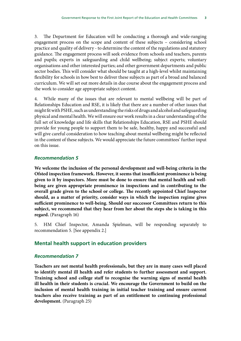3. The Department for Education will be conducting a thorough and wide-ranging engagement process on the scope and content of these subjects – considering school practice and quality of delivery - to determine the content of the regulations and statutory guidance. The engagement process will seek evidence from schools and teachers, parents and pupils; experts in safeguarding and child wellbeing; subject experts; voluntary organisations and other interested parties; and other government departments and public sector bodies. This will consider what should be taught at a high-level whilst maintaining flexibility for schools in how best to deliver these subjects as part of a broad and balanced curriculum. We will set out more details in due course about the engagement process and the work to consider age appropriate subject content.

4. While many of the issues that are relevant to mental wellbeing will be part of Relationships Education and RSE, it is likely that there are a number of other issues that might fit with PSHE, such as understanding the risks of drugs and alcohol and safeguarding physical and mental health. We will ensure our work results in a clear understanding of the full set of knowledge and life skills that Relationships Education, RSE and PSHE should provide for young people to support them to be safe, healthy, happy and successful and will give careful consideration to how teaching about mental wellbeing might be reflected in the content of these subjects. We would appreciate the future committees' further input on this issue.

#### *Recommendation 5*

**We welcome the inclusion of the personal development and well-being criteria in the Ofsted inspection framework. However, it seems that insufficient prominence is being given to it by inspectors. More must be done to ensure that mental health and wellbeing are given appropriate prominence in inspections and in contributing to the overall grade given to the school or college. The recently appointed Chief Inspector should, as a matter of priority, consider ways in which the inspection regime gives sufficient prominence to well-being. Should our successor Committees return to this subject, we recommend that they hear from her about the steps she is taking in this regard.** (Paragraph 16)

5. HM Chief Inspector, Amanda Spielman, will be responding separately to recommendation 5. [See appendix 2.]

### **Mental health support in education providers**

#### *Recommendation 7*

**Teachers are not mental health professionals, but they are in many cases well placed to identify mental ill health and refer students to further assessment and support. Training school and college staff to recognise the warning signs of mental health ill health in their students is crucial. We encourage the Government to build on the inclusion of mental health training in initial teacher training and ensure current teachers also receive training as part of an entitlement to continuing professional development.** (Paragraph 25)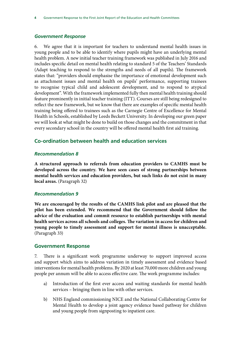#### *Government Response*

6. We agree that it is important for teachers to understand mental health issues in young people and to be able to identify where pupils might have an underlying mental health problem. A new initial teacher training framework was published in July 2016 and includes specific detail on mental health relating to standard 5 of the Teachers' Standards (Adapt teaching to respond to the strengths and needs of all pupils). The framework states that: "providers should emphasise the importance of emotional development such as attachment issues and mental health on pupils' performance, supporting trainees to recognise typical child and adolescent development, and to respond to atypical development". With the framework implemented fully then mental health training should feature prominently in initial teacher training (ITT). Courses are still being redesigned to reflect the new framework, but we know that there are examples of specific mental health training being offered to trainees such as the Carnegie Centre of Excellence for Mental Health in Schools, established by Leeds Beckett University. In developing our green paper we will look at what might be done to build on those changes and the commitment in that every secondary school in the country will be offered mental health first aid training.

## **Co-ordination between health and education services**

#### *Recommendation 8*

**A structured approach to referrals from education providers to CAMHS must be developed across the country. We have seen cases of strong partnerships between mental health services and education providers, but such links do not exist in many local areas.** (Paragraph 32)

#### *Recommendation 9*

**We are encouraged by the results of the CAMHS link pilot and are pleased that the pilot has been extended. We recommend that the Government should follow the advice of the evaluation and commit resource to establish partnerships with mental health services across all schools and colleges. The variation in access for children and young people to timely assessment and support for mental illness is unacceptable.**  (Paragraph 33)

#### **Government Response**

7. There is a significant work programme underway to support improved access and support which aims to address variation in timely assessment and evidence based interventions for mental health problems. By 2020 at least 70,000 more children and young people per annum will be able to access effective care. The work programme includes:

- a) Introduction of the first ever access and waiting standards for mental health services – bringing them in line with other services.
- b) NHS England commissioning NICE and the National Collaborating Centre for Mental Health to develop a joint agency evidence based pathway for children and young people from signposting to inpatient care.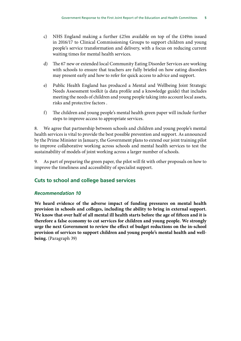- c) NHS England making a further £25m available on top of the £149m issued in 2016/17 to Clinical Commissioning Groups to support children and young people's service transformation and delivery, with a focus on reducing current waiting times for mental health services.
- d) The 67 new or extended local Community Eating Disorder Services are working with schools to ensure that teachers are fully briefed on how eating disorders may present early and how to refer for quick access to advice and support.
- e) Public Health England has produced a Mental and Wellbeing Joint Strategic Needs Assessment toolkit (a data profile and a knowledge guide) that includes meeting the needs of children and young people taking into account local assets, risks and protective factors .
- f) The children and young people's mental health green paper will include further steps to improve access to appropriate services.

8. We agree that partnership between schools and children and young people's mental health services is vital to provide the best possible prevention and support. As announced by the Prime Minister in January, the Government plans to extend our joint training pilot to improve collaborative working across schools and mental health services to test the sustainability of models of joint working across a larger number of schools.

9. As part of preparing the green paper, the pilot will fit with other proposals on how to improve the timeliness and accessibility of specialist support.

## **Cuts to school and college based services**

## *Recommendation 10*

**We heard evidence of the adverse impact of funding pressures on mental health provision in schools and colleges, including the ability to bring in external support. We know that over half of all mental ill health starts before the age of fifteen and it is therefore a false economy to cut services for children and young people. We strongly urge the next Government to review the effect of budget reductions on the in-school provision of services to support children and young people's mental health and wellbeing.** (Paragraph 39)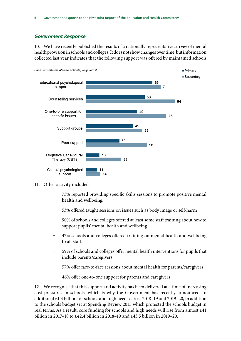#### *Government Response*

10. We have recently published the results of a nationally representative survey of mental health provision in schools and colleges. It does not show changes over time, but information collected last year indicates that the following support was offered by maintained schools



#### 11. Other activity included

- Ȥ 73% reported providing specific skills sessions to promote positive mental health and wellbeing.
- 53% offered taught sessions on issues such as body image or self-harm
- Ȥ 90% of schools and colleges offered at least some staff training about how to support pupils' mental health and wellbeing
- Ȥ 47% schools and colleges offered training on mental health and wellbeing to all staff.
- 59% of schools and colleges offer mental health interventions for pupils that include parents/caregivers
- 57% offer face-to-face sessions about mental health for parents/caregivers
- Ȥ 46% offer one-to-one support for parents and caregivers

12. We recognise that this support and activity has been delivered at a time of increasing cost pressures in schools, which is why the Government has recently announced an additional £1.3 billion for schools and high needs across 2018–19 and 2019–20, in addition to the schools budget set at Spending Review 2015 which protected the schools budget in real terms. As a result, core funding for schools and high needs will rise from almost £41 billion in 2017–18 to £42.4 billion in 2018–19 and £43.5 billion in 2019–20.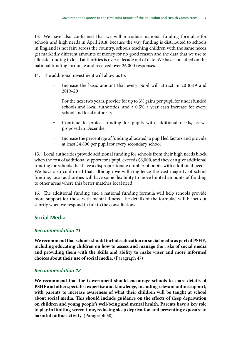13. We have also confirmed that we will introduce national funding formulae for schools and high needs in April 2018, because the way funding is distributed to schools in England is not fair: across the country, schools teaching children with the same needs get markedly different amounts of money for no good reason and the data that we use to allocate funding to local authorities is over a decade out of date. We have consulted on the national funding formulae and received over 26,000 responses.

14. The additional investment will allow us to:

- Increase the basic amount that every pupil will attract in 2018-19 and 2019–20
- For the next two years, provide for up to 3% gains per pupil for underfunded schools and local authorities, and a 0.5% a year cash increase for every school and local authority
- Continue to protect funding for pupils with additional needs, as we proposed in December
- Increase the percentage of funding allocated to pupil led factors and provide at least £4,800 per pupil for every secondary school

15. Local authorities provide additional funding for schools from their high needs block when the cost of additional support for a pupil exceeds £6,000, and they can give additional funding for schools that have a disproportionate number of pupils with additional needs. We have also confirmed that, although we will ring-fence the vast majority of school funding, local authorities will have some flexibility to move limited amounts of funding to other areas where this better matches local need.

16. The additional funding and a national funding formula will help schools provide more support for those with mental illness. The details of the formulae will be set out shortly when we respond in full to the consultations.

## **Social Media**

## *Recommendation 11*

**We recommend that schools should include education on social media as part of PSHE, including educating children on how to assess and manage the risks of social media and providing them with the skills and ability to make wiser and more informed choices about their use of social media.** (Paragraph 47)

## *Recommendation 12*

**We recommend that the Government should encourage schools to share details of PSHE and other specialist expertise and knowledge, including relevant online support, with parents to increase awareness of what their children will be taught at school about social media. This should include guidance on the effects of sleep deprivation on children and young people's well-being and mental health. Parents have a key role to play in limiting screen time, reducing sleep deprivation and preventing exposure to harmful online activity.** (Paragraph 50)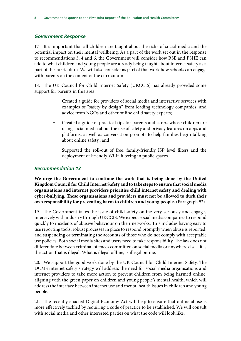#### *Government Response*

17. It is important that all children are taught about the risks of social media and the potential impact on their mental wellbeing. As a part of the work set out in the response to recommendations 3, 4 and 6, the Government will consider how RSE and PSHE can add to what children and young people are already being taught about internet safety as a part of the curriculum. We will also consider as part of that work how schools can engage with parents on the content of the curriculum.

18. The UK Council for Child Internet Safety (UKCCIS) has already provided some support for parents in this area:

- Ȥ Created a guide for providers of social media and interactive services with examples of "safety by design" from leading technology companies, and advice from NGOs and other online child safety experts;
- Ȥ Created a guide of practical tips for parents and carers whose children are using social media about the use of safety and privacy features on apps and platforms, as well as conversation prompts to help families begin talking about online safety.; and
- Supported the roll-out of free, family-friendly ISP level filters and the deployment of Friendly Wi-Fi filtering in public spaces.

## *Recommendation 13*

**We urge the Government to continue the work that is being done by the United Kingdom Council for Child Internet Safety and to take steps to ensure that social media organisations and internet providers prioritise child internet safety and dealing with cyber-bullying. These organisations and providers must not be allowed to duck their own responsibility for preventing harm to children and young people.** (Paragraph 52)

19. The Government takes the issue of child safety online very seriously and engages intensively with industry through UKCCIS. We expect social media companies to respond quickly to incidents of abusive behaviour on their networks. This includes having easy to use reporting tools, robust processes in place to respond promptly when abuse is reported, and suspending or terminating the accounts of those who do not comply with acceptable use policies. Both social media sites and users need to take responsibility. The law does not differentiate between criminal offences committed on social media or anywhere else—it is the action that is illegal. What is illegal offline, is illegal online.

20. We support the good work done by the UK Council for Child Internet Safety. The DCMS internet safety strategy will address the need for social media organisations and internet providers to take more action to prevent children from being harmed online, aligning with the green paper on children and young people's mental health, which will address the interface between internet use and mental health issues in children and young people.

21. The recently enacted Digital Economy Act will help to ensure that online abuse is more effectively tackled by requiring a code of practice to be established. We will consult with social media and other interested parties on what the code will look like.